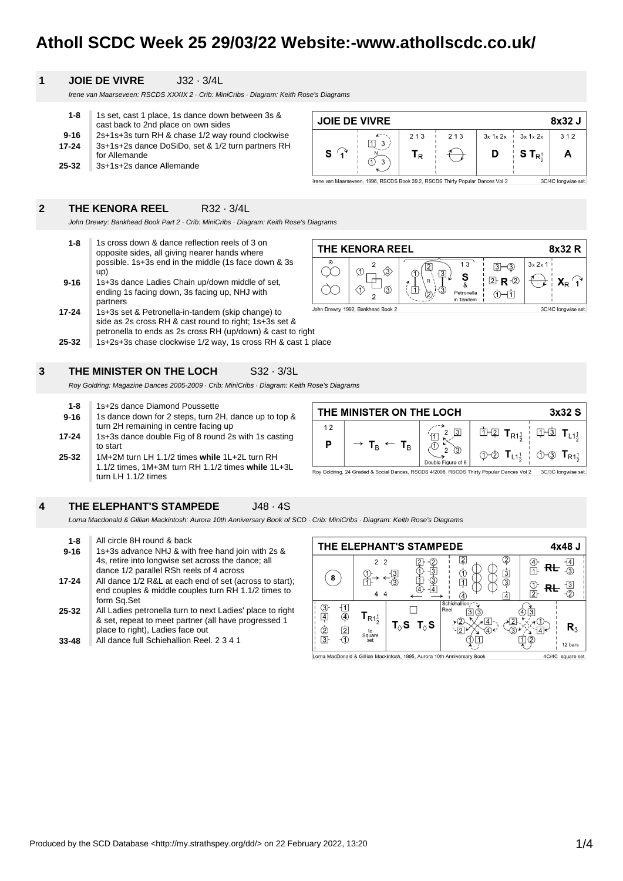# **Atholl SCDC Week 25 29/03/22 Website:-www.athollscdc.co.uk/**

**JOIE DE VIVRE** 

 $\mathbf{s}$  $\mathcal{G}$ 

 $12$ 

P

 $\boxed{1}$  3

THE MINISTER ON THE LOCH

 $T_B$ 

จ  $\overline{3}$ 

# **1 JOIE DE VIVRE** J32 · 3/4L

Irene van Maarseveen: RSCDS XXXIX 2 · Crib: MiniCribs · Diagram: Keith Rose's Diagrams

| $1 - 8$   | 1s set, cast 1 place, 1s dance down between 3s &  |
|-----------|---------------------------------------------------|
|           | cast back to 2nd place on own sides               |
| $9 - 16$  | 2s+1s+3s turn RH & chase 1/2 way round clockwise  |
| 17-24     | 3s+1s+2s dance DoSiDo, set & 1/2 turn partners RH |
|           | for Allemande                                     |
| $25 - 32$ | 3s+1s+2s dance Allemande                          |

## **2 THE KENORA REEL** R32 · 3/4L

John Drewry: Bankhead Book Part 2 · Crib: MiniCribs · Diagram: Keith Rose's Diagrams

- **9-16 1-8** 1s cross down & dance reflection reels of 3 on opposite sides, all giving nearer hands where possible. 1s+3s end in the middle (1s face down & 3s up) 1s+3s dance Ladies Chain up/down middle of set,
- ending 1s facing down, 3s facing up, NHJ with partners
- **25-32 17-24** 1s+3s set & Petronella-in-tandem (skip change) to side as 2s cross RH & cast round to right; 1s+3s set & petronella to ends as 2s cross RH (up/down) & cast to right
- 1s+2s+3s chase clockwise 1/2 way, 1s cross RH & cast 1 place

# **3 THE MINISTER ON THE LOCH** S32 · 3/3L

Roy Goldring: Magazine Dances 2005-2009 · Crib: MiniCribs · Diagram: Keith Rose's Diagrams

**25-32 17-24 9-16 1-8** 1s+2s dance Diamond Poussette 1s dance down for 2 steps, turn 2H, dance up to top & turn 2H remaining in centre facing up 1s+3s dance double Fig of 8 round 2s with 1s casting to start 1M+2M turn LH 1.1/2 times **while** 1L+2L turn RH 1.1/2 times, 1M+3M turn RH 1.1/2 times **while** 1L+3L turn LH 1.1/2 times

| J48 - 4S |
|----------|
|          |

Lorna Macdonald & Gillian Mackintosh: Aurora 10th Anniversary Book of SCD · Crib: MiniCribs · Diagram: Keith Rose's Diagrams

- **25-32 17-24 9-16 1-8** All circle 8H round & back 1s+3s advance NHJ & with free hand join with 2s & 4s, retire into longwise set across the dance; all dance 1/2 parallel RSh reels of 4 across All dance 1/2 R&L at each end of set (across to start); end couples & middle couples turn RH 1.1/2 times to form Sq.Set All Ladies petronella turn to next Ladies' place to right
- & set, repeat to meet partner (all have progressed 1 place to right), Ladies face out
- **33-48** All dance full Schiehallion Reel. 2 3 4 1



 $\overline{2}$  $\sqrt{3}$ 

Double Figure of 8

 $\mathcal{S}$  $\overline{2}$ 

 $\overline{1}$ 

 $\circledcirc$ 

Roy Goldring, 24 Graded & Social Dances, RSCDS 4/2008, RSCDS Thirty Popular Dances Vol 2

**山口** 

(D-2)

 $T_{R1\frac{1}{2}}$ 

 $T_{L1}$ 



 $213$ 

 $213$ 

 $T_R$ 

rene van Maarseveen, 1996, RSCDS Book 39.2, RSCDS Thirty Popular Dances Vol 2

8x32 J

 $312$ 

A

3C/4C longwise set.

3x32 S

 $\Pi$   $\overline{\mathbf{3}}$   $\mathbf{T}_{L1\frac{1}{2}}$ 

 $\circlearrowleft$ -3  $\mathsf{T}_\mathsf{R1}$ 

3C/3C longwise set

 $3x$  1x 2x

 $ST_{R_2^1}$ 

 $3x 1x 2x$ 

D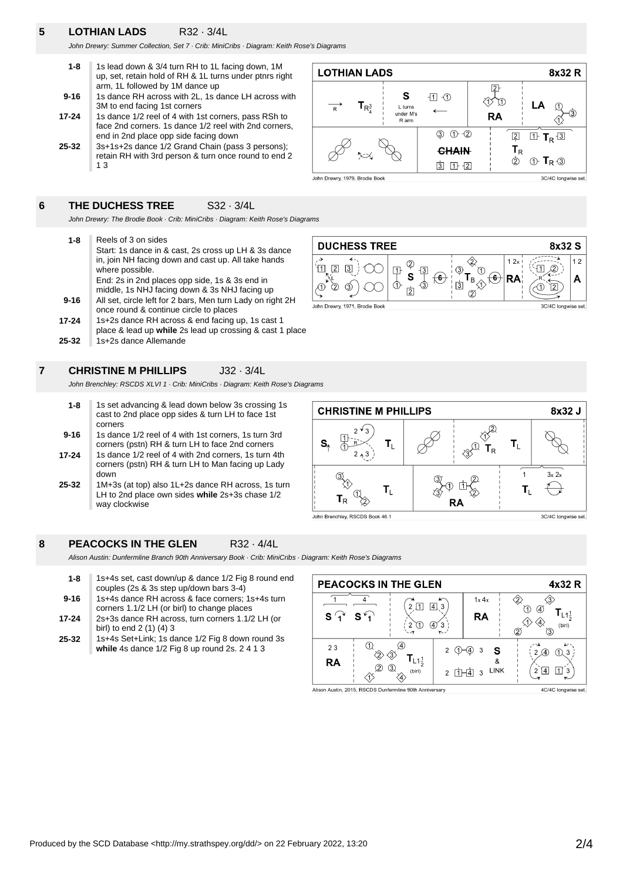# **5 LOTHIAN LADS** R32 · 3/4L

John Drewry: Summer Collection, Set 7 · Crib: MiniCribs · Diagram: Keith Rose's Diagrams

| 1s lead down & 3/4 turn RH to 1L facing down, 1M<br>up, set, retain hold of RH & 1L turns under ptnrs right |
|-------------------------------------------------------------------------------------------------------------|
| arm, 1L followed by 1M dance up                                                                             |
| 1s dance RH across with 2L, 1s dance LH across with                                                         |
| 3M to end facing 1st corners                                                                                |
| 1s dance 1/2 reel of 4 with 1st corners, pass RSh to                                                        |
|                                                                                                             |

- **25-32** face 2nd corners. 1s dance 1/2 reel with 2nd corners, end in 2nd place opp side facing down 3s+1s+2s dance 1/2 Grand Chain (pass 3 persons);
- retain RH with 3rd person & turn once round to end 2 1 3

# **6 THE DUCHESS TREE** S32 · 3/4L

John Drewry: The Brodie Book · Crib: MiniCribs · Diagram: Keith Rose's Diagrams

**25-32 17-24 9-16 1-8** Reels of 3 on sides Start: 1s dance in & cast, 2s cross up LH & 3s dance in, join NH facing down and cast up. All take hands where possible. End: 2s in 2nd places opp side, 1s & 3s end in middle, 1s NHJ facing down & 3s NHJ facing up All set, circle left for 2 bars, Men turn Lady on right 2H once round & continue circle to places 1s+2s dance RH across & end facing up, 1s cast 1 place & lead up **while** 2s lead up crossing & cast 1 place 1s+2s dance Allemande



8x32 R

 $\mathsf{L}\mathsf{A}$ 

 $1 F_R 13$ 

 $\circled{1}$  T<sub>R</sub> $\circled{3}$ 

3C/4C longwise set.

3C/4C longwise set.

3C/4C longwise set.

 $\overline{2}$ 

**RA** 

 $\sqrt{2}$ 

 $T_R$ 

 $\circled{2}$ 

谷

**7 CHRISTINE M PHILLIPS** J32 · 3/4L

John Brenchley: RSCDS XLVI 1 · Crib: MiniCribs · Diagram: Keith Rose's Diagrams

- **9-16 1-8** 1s set advancing & lead down below 3s crossing 1s cast to 2nd place opp sides & turn LH to face 1st corners 1s dance 1/2 reel of 4 with 1st corners, 1s turn 3rd corners (pstn) RH & turn LH to face 2nd corners
- **17-24** 1s dance 1/2 reel of 4 with 2nd corners, 1s turn 4th corners (pstn) RH & turn LH to Man facing up Lady down
- **25-32** 1M+3s (at top) also 1L+2s dance RH across, 1s turn LH to 2nd place own sides **while** 2s+3s chase 1/2 way clockwise

# **8 PEACOCKS IN THE GLEN** R32 · 4/4L

Alison Austin: Dunfermline Branch 90th Anniversary Book · Crib: MiniCribs · L

| $1 - 8$  | 1s+4s set, cast down/up & dance 1/2 Fig 8 round end<br>couples (2s & 3s step up/down bars 3-4)    |
|----------|---------------------------------------------------------------------------------------------------|
| $9 - 16$ | 1s+4s dance RH across & face corners; 1s+4s turn<br>corners 1.1/2 LH (or birl) to change places   |
| 17-24    | 2s+3s dance RH across, turn corners 1.1/2 LH (or<br>birl) to end 2 (1) (4) 3                      |
| 25-32    | 1s+4s Set+Link; 1s dance 1/2 Fig 8 down round 3s<br>while 4s dance 1/2 Fig 8 up round 2s. 2 4 1 3 |
|          |                                                                                                   |

| Diagram: Keith Rose's Diagrams              |                                          |                       |                                      |
|---------------------------------------------|------------------------------------------|-----------------------|--------------------------------------|
| <b>PEACOCKS IN THE GLEN</b>                 |                                          |                       | 4x32 R                               |
|                                             | 4 <sub>l</sub><br>3<br>$\left( 4\right)$ | 1x 4x<br>RA           | A)<br>$L1\frac{1}{2}$<br>(birl)<br>2 |
| 23<br>$1\frac{1}{2}$<br>RA<br>(3)<br>(birl) | $\mathfrak{p}$<br>$\mathfrak{p}$         | 3<br><b>LINK</b><br>3 | 1)<br>4<br>11<br>2<br>14             |

**CHRISTINE M PHILLIPS** 8x32 J  $\frac{1}{\sqrt[3]{2}}$  $\overline{2}$  $\sqrt{1}$  $30$  $T_{L}$  $T_L$ S.  $T_R$  $\mathcal{P}$  $\overline{1}$  $3x2x$ (3) Xî.  $T_1$  $T_1$ 

John Brenchley, RSCDS Book 46.1

T  $T_R$ 

 $\overline{2}$  $\circledZ$ John Drewry, 1971, Brodie Book

**LOTHIAN LADS** 

John Drewry, 1979, Brodie Book

 $\overline{\phantom{a}}$ 

 $T_{R_4^3}$ 

S

L turns

under M's

R arm

 $\mathbf{D}$ 

 $③ ① ⑦$ 

**CHAIN** 

 $3 1 + 2$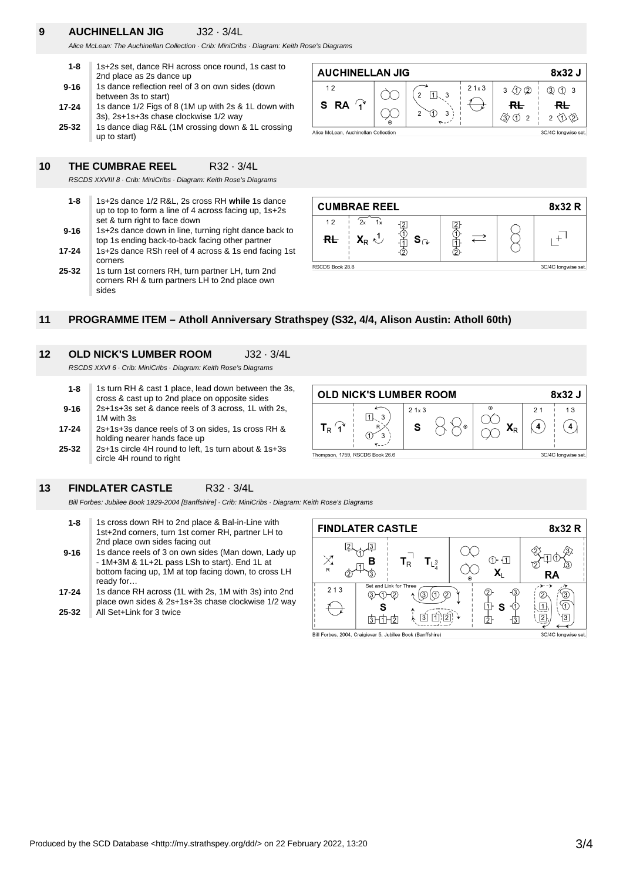# **9 AUCHINELLAN JIG** J32 · 3/4L

Alice McLean: The Auchinellan Collection · Crib: MiniCribs · Diagram: Keith Rose's Diagrams

| $1 - 8$   | 1s+2s set, dance RH across once round, 1s cast to<br>2nd place as 2s dance up                 |
|-----------|-----------------------------------------------------------------------------------------------|
| $9 - 16$  | 1s dance reflection reel of 3 on own sides (down<br>between 3s to start)                      |
| 17-24     | 1s dance 1/2 Figs of 8 (1M up with 2s & 1L down with<br>3s), 2s+1s+3s chase clockwise 1/2 way |
| $25 - 32$ | 1s dance diag R&L (1M crossing down & 1L crossing<br>up to start)                             |

#### **AUCHINELLAN JIG** 8x32 J  $12$  $21 \times 3$  $3\sqrt{12}$ 3 1 3  $2 \boxed{1}$ 3 S **RA**  $\mathbf{A}$  $R<sub>+</sub>$  $R<sub>+</sub>$  $\circledD$  $\mathbf{z}$  $\mathfrak{p}$ **③①2**  $2 \text{ } \bigotimes$ Alice McLean, Auchinellan Collection 3C/4C longwise set.

**10 THE CUMBRAE REEL** R32 · 3/4L RSCDS XXVIII 8 · Crib: MiniCribs · Diagram: Keith Rose's Diagrams

| $1 - 8$  | 1s+2s dance 1/2 R&L, 2s cross RH while 1s dance<br>up to top to form a line of 4 across facing up, $1s+2s$<br>set & turn right to face down |
|----------|---------------------------------------------------------------------------------------------------------------------------------------------|
| $9 - 16$ | 1s+2s dance down in line, turning right dance back to<br>top 1s ending back-to-back facing other partner                                    |
| 17-24    | 1s+2s dance RSh reel of 4 across & 1s end facing 1st<br>corners                                                                             |
| 25-32    | 1s turn 1st corners RH, turn partner LH, turn 2nd<br>corners RH & turn partners LH to 2nd place own<br>sides                                |



### **11 PROGRAMME ITEM – Atholl Anniversary Strathspey (S32, 4/4, Alison Austin: Atholl 60th)**

# **12 OLD NICK'S LUMBER ROOM** J32 · 3/4L

RSCDS XXVI 6 · Crib: MiniCribs · Diagram: Keith Rose's Diagrams

- **17-24 9-16 1-8** 1s turn RH & cast 1 place, lead down between the 3s, cross & cast up to 2nd place on opposite sides 2s+1s+3s set & dance reels of 3 across, 1L with 2s, 1M with 3s 2s+1s+3s dance reels of 3 on sides, 1s cross RH & holding nearer hands face up
- **25-32** 2s+1s circle 4H round to left, 1s turn about & 1s+3s circle 4H round to right



### **13 FINDLATER CASTLE** R32 · 3/4L

Bill Forbes: Jubilee Book 1929-2004 [Banffshire] · Crib: MiniCribs · Diagram: Keith Rose's Diagrams

- **1-8** 1s cross down RH to 2nd place & Bal-in-Line with 1st+2nd corners, turn 1st corner RH, partner LH to 2nd place own sides facing out
- **9-16** 1s dance reels of 3 on own sides (Man down, Lady up - 1M+3M & 1L+2L pass LSh to start). End 1L at bottom facing up, 1M at top facing down, to cross LH ready for…
- **25-32 17-24** 1s dance RH across (1L with 2s, 1M with 3s) into 2nd place own sides & 2s+1s+3s chase clockwise 1/2 way All Set+Link for 3 twice



Bill Forbes, 2004, Craigievar 5, Jubilee Book (Banffshire)

3C/4C longwise set